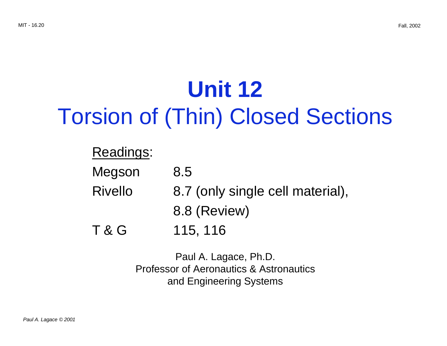# **Unit 12** Torsion of (Thin) Closed Sections

### Readings:

| Megson         | 8.5                              |
|----------------|----------------------------------|
| <b>Rivello</b> | 8.7 (only single cell material), |
|                | 8.8 (Review)                     |
| <b>T&amp;G</b> | 115, 116                         |

Paul A. Lagace, Ph.D. Professor of Aeronautics & Astronautics and Engineering Systems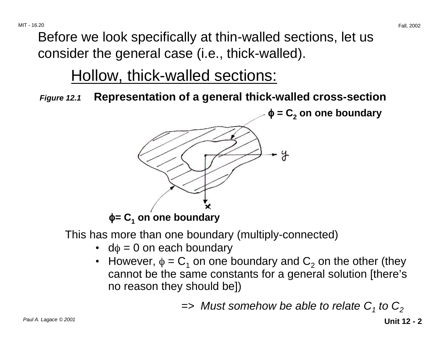Before we look specifically at thin-walled sections, let us consider the general case (i.e., thick-walled).

### Hollow, thick-walled sections:

**Figure 12.1 Representation of a general thick-walled cross-section** 

 $\phi = C_2$  on one boundary



This has more than one boundary (multiply-connected)

- $d\phi = 0$  on each boundary
- However,  $\phi = C_1$  on one boundary and  $C_2$  on the other (they cannot be the same constants for a general solution [there's no reason they should be])

 $\Rightarrow$  Must somehow be able to relate C<sub>1</sub> to C<sub>2</sub>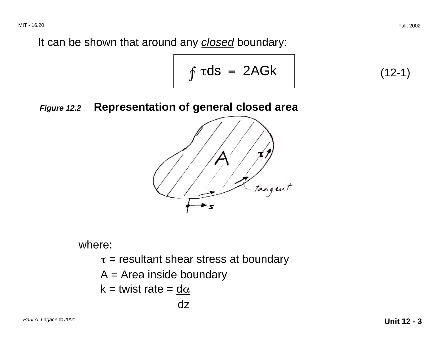It can be shown that around any **closed** boundary:

$$
\int \tau ds = 2AGk \qquad (12-1)
$$

#### **Figure 12.2 Representation of general closed area**



where:

 $\tau$  = resultant shear stress at boundary

 $A = Area$  inside boundary

$$
k = \text{twist rate} = \underline{d\alpha}
$$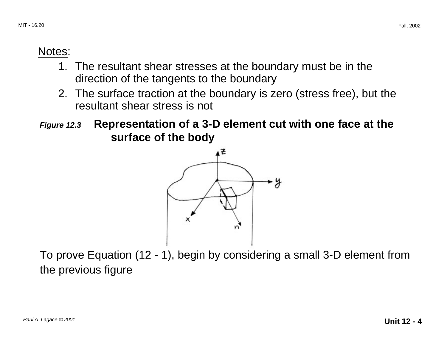### Notes:

- 1. The resultant shear stresses at the boundary must be in the direction of the tangents to the boundary
- 2. The surface traction at the boundary is zero (stress free), but the resultant shear stress is not

**Figure 12.3 Representation of a 3-D element cut with one face at the surface of the body** 



To prove Equation (12 - 1), begin by considering a small 3-D element from the previous figure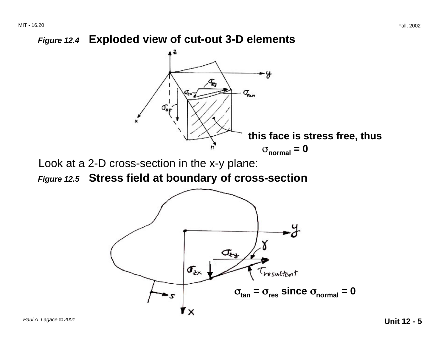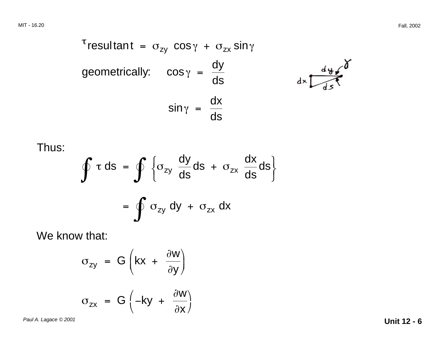$$
^{\tau}resultant = \sigma_{zy} \cos \gamma + \sigma_{zx} \sin \gamma
$$
\ngeometrically:  $\cos \gamma = \frac{dy}{ds}$   
\n
$$
\sin \gamma = \frac{dx}{ds}
$$

Thus:

$$
\int \tau ds = \int \left\{ \sigma_{zy} \frac{dy}{ds} ds + \sigma_{zx} \frac{dx}{ds} ds \right\}
$$

$$
= \int \sigma_{zy} dy + \sigma_{zx} dx
$$

We know that:

$$
\sigma_{zy} = G \left(kx + \frac{\partial W}{\partial y}\right)
$$

$$
\sigma_{zx} = G \left(-ky + \frac{\partial W}{\partial x}\right)
$$

Paul A. Lagace © 2001 **Unit 12 - 6**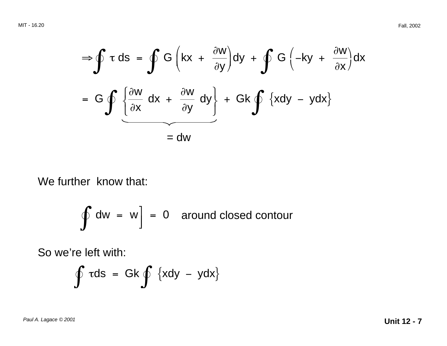$$
\Rightarrow \oint \tau ds = \oint G \left(kx + \frac{\partial w}{\partial y}\right) dy + \oint G \left(-ky + \frac{\partial w}{\partial x}\right) dx
$$
  
=  $G \oint \left\{\frac{\partial w}{\partial x} dx + \frac{\partial w}{\partial y} dy\right\} + Gk \oint \left\{xdy - ydx\right\}$   
= dw

We further know that:

$$
\oint dw = w \Big] = 0 \quad \text{around closed contour}
$$

So we're left with:

$$
\oint \tau ds = Gk \oint \{xdy - ydx\}
$$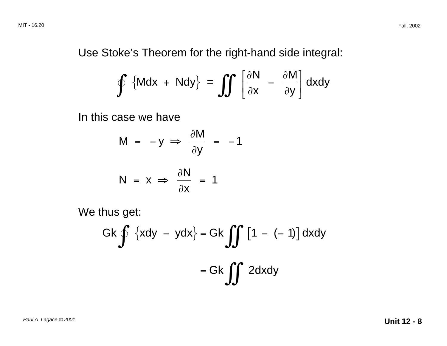Use Stoke's Theorem for the right-hand side integral:

$$
\oint \left\{ Mdx + Ndy \right\} = \iint \left[ \frac{\partial N}{\partial x} - \frac{\partial M}{\partial y} \right] dxdy
$$

In this case we have

$$
M = -y \implies \frac{\partial M}{\partial y} = -1
$$

$$
N = x \Rightarrow \frac{\partial N}{\partial x} = 1
$$

We thus get:

$$
Gk \oint \{xdy - ydx\} = Gk \iiint [1 - (-1)] dxdy
$$

$$
= Gk \iiint 2dxdy
$$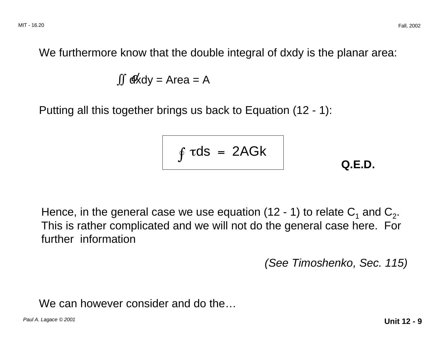We furthermore know that the double integral of dxdy is the planar area:

$$
\iint d\vec{x} dy = Area = A
$$

Putting all this together brings us back to Equation (12 - 1):

$$
\int \tau ds = 2AGk \qquad Q.E.D.
$$

Hence, in the general case we use equation (12 - 1) to relate  $C_1$  and  $C_2$ . This is rather complicated and we will not do the general case here. For further information

(See Timoshenko, Sec. 115)

We can however consider and do the...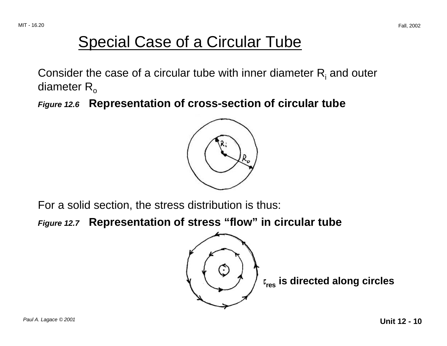## Special Case of a Circular Tube

Consider the case of a circular tube with inner diameter  $R_i$  and outer diameter  $R_{o}$ 

**Figure 12.6 Representation of cross-section of circular tube** 



For a solid section, the stress distribution is thus:

**Figure 12.7 Representation of stress "flow" in circular tube**



τ <sup>τ</sup>**res is directed along circles**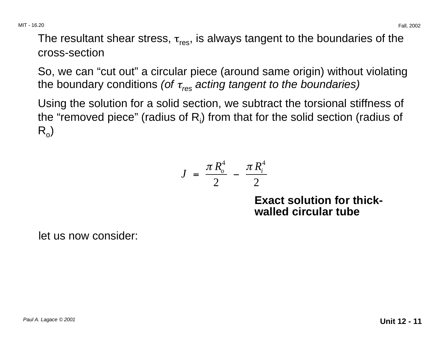The resultant shear stress,  $\tau_{res}$ , is always tangent to the boundaries of the cross-section

So, we can "cut out" a circular piece (around same origin) without violating the boundary conditions (of  $\tau_{res}$  acting tangent to the boundaries)

Using the solution for a solid section, we subtract the torsional stiffness of the "removed piece" (radius of  $R_i$ ) from that for the solid section (radius of  $R_{o}$ 

$$
J = \frac{\pi R_o^4}{2} - \frac{\pi R_i^4}{2}
$$

**Exact solution for thickwalled circular tube** 

let us now consider: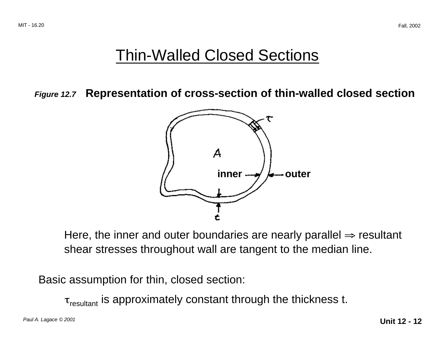### Thin-Walled Closed Sections

**Figure 12.7 Representation of cross-section of thin-walled closed section** 



Here, the inner and outer boundaries are nearly parallel  $\Rightarrow$  resultant shear stresses throughout wall are tangent to the median line.

Basic assumption for thin, closed section:

 $\tau_{\text{resultant}}$  is approximately constant through the thickness t.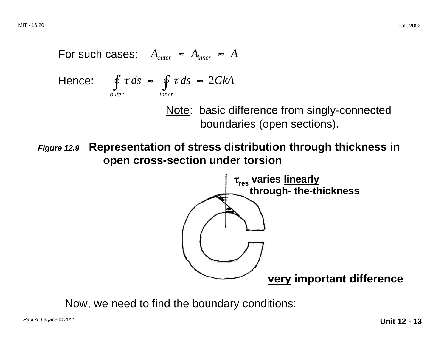For such cases: 
$$
A_{outer} \approx A_{inner} \approx A
$$

Hence: 
$$
\oint_{\text{outer}} \tau ds \approx \oint_{\text{inner}} \tau ds \approx 2GkA
$$

Note: basic difference from singly-connected boundaries (open sections).

**Figure 12.9 Representation of stress distribution through thickness in open cross-section under torsion** 



Now, we need to find the boundary conditions: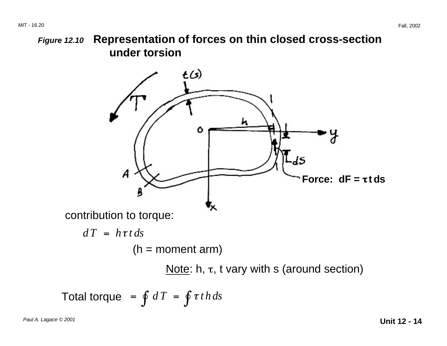### **Figure 12.10 Representation of forces on thin closed cross-section under torsion**



Note: h,  $τ$ , t vary with s (around section)

Total torque = 
$$
\int dT = \int \tau t h ds
$$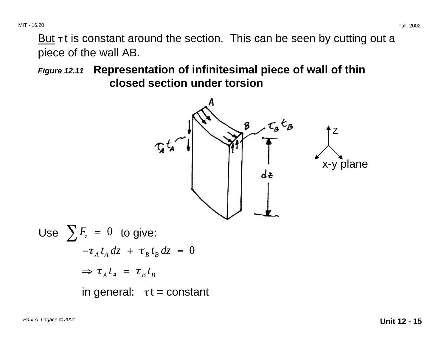But  $\tau$ t is constant around the section. This can be seen by cutting out a piece of the wall AB.

**Figure 12.11 Representation of infinitesimal piece of wall of thin closed section under torsion** 

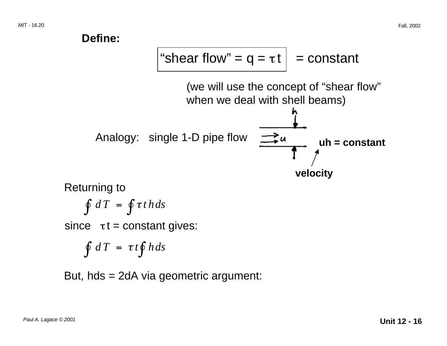

But, hds = 2dA via geometric argument: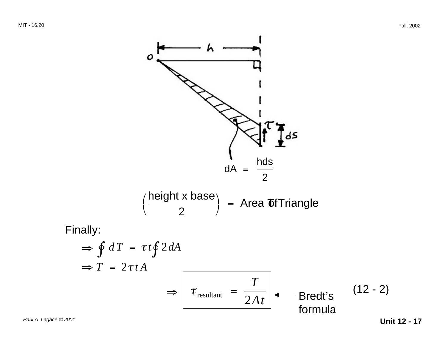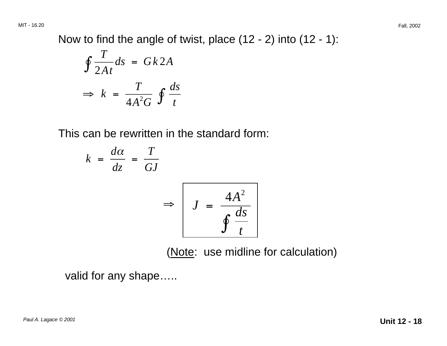MIT - 16.20 Fall, 2002

Now to find the angle of twist, place (12 - 2) into (12 - 1):

$$
\oint \frac{T}{2At} ds = Gk2A
$$
\n
$$
\Rightarrow k = \frac{T}{4A^2G} \oint \frac{ds}{t}
$$

This can be rewritten in the standard form:

$$
k = \frac{d\alpha}{dz} = \frac{T}{GJ}
$$
  

$$
\Rightarrow \left[J = \frac{4A^2}{\oint \frac{ds}{t}}\right]
$$

(Note: use midline for calculation)

valid for any shape…..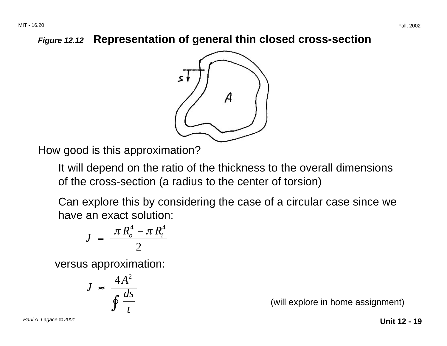#### **Figure 12.12 Representation of general thin closed cross-section**



How good is this approximation?

It will depend on the ratio of the thickness to the overall dimensions of the cross-section (a radius to the center of torsion)

Can explore this by considering the case of a circular case since we have an exact solution:

$$
J = \frac{\pi R_o^4 - \pi R_i^4}{2}
$$

versus approximation:

$$
J \approx \frac{4A^2}{\oint \frac{ds}{t}}
$$

(will explore in home assignment)

Paul A. Lagace © 2001 **Unit 12 - 19**